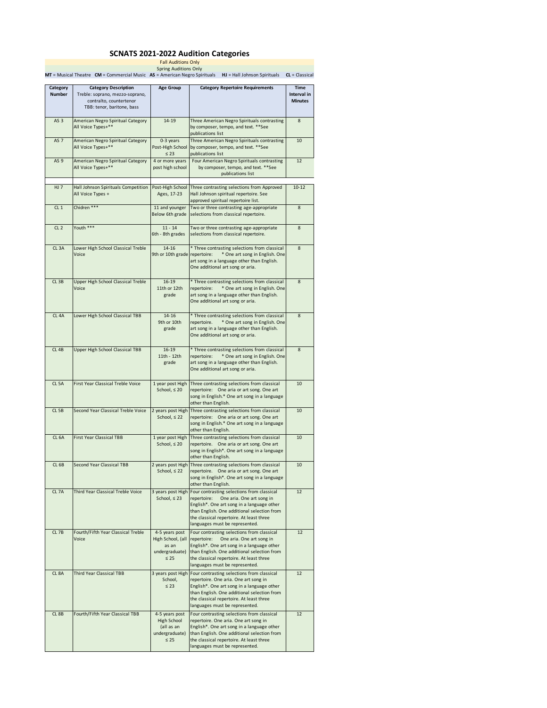## **SCNATS 2021-2022 Audition Categories**

Fall Auditions Only Spring Auditions Only **MT** = Musical Theatre **CM** = Commercial Music **AS** = American Negro Spirituals **HJ** = Hall Johnson Spirituals **CL** = Classical

| Category<br><b>Number</b> | <b>Category Description</b><br>Treble: soprano, mezzo-soprano,<br>contralto, countertenor<br>TBB: tenor, baritone, bass | <b>Age Group</b>                                                            | <b>Category Repertoire Requirements</b>                                                                                                                                                                                                                           | Time<br>Interval in<br><b>Minutes</b> |
|---------------------------|-------------------------------------------------------------------------------------------------------------------------|-----------------------------------------------------------------------------|-------------------------------------------------------------------------------------------------------------------------------------------------------------------------------------------------------------------------------------------------------------------|---------------------------------------|
| AS <sub>3</sub>           | American Negro Spiritual Category<br>All Voice Types+**                                                                 | 14-19                                                                       | Three American Negro Spirituals contrasting<br>by composer, tempo, and text. ** See<br>publications list                                                                                                                                                          | 8                                     |
| AS <sub>7</sub>           | American Negro Spiritual Category<br>All Voice Types+**                                                                 | 0-3 years<br>Post-High School<br>$\leq 23$                                  | Three American Negro Spirituals contrasting<br>by composer, tempo, and text. ** See<br>publications list                                                                                                                                                          | 10                                    |
| AS <sub>9</sub>           | American Negro Spiritual Category<br>All Voice Types+**                                                                 | 4 or more years<br>post high school                                         | Four American Negro Spirituals contrasting<br>by composer, tempo, and text. ** See<br>publications list                                                                                                                                                           | 12                                    |
| <b>HJ 7</b>               | Hall Johnson Spirituals Competition<br>All Voice Types +                                                                | Post-High School<br>Ages, 17-23                                             | Three contrasting selections from Approved<br>Hall Johnson spiritual repertoire. See<br>approved spiritual repertoire list.                                                                                                                                       | $10 - 12$                             |
| CL <sub>1</sub>           | Chidren ***                                                                                                             | 11 and younger<br>Below 6th grade                                           | Two or three contrasting age-appropriate<br>selections from classical repertoire.                                                                                                                                                                                 | 8                                     |
| CL <sub>2</sub>           | Youth ***                                                                                                               | $11 - 14$<br>6th - 8th grades                                               | Two or three contrasting age-appropriate<br>selections from classical repertoire.                                                                                                                                                                                 | 8                                     |
| CL <sub>3</sub> A         | Lower High School Classical Treble<br>Voice                                                                             | $14 - 16$<br>9th or 10th grade repertoire:                                  | * Three contrasting selections from classical<br>* One art song in English. One<br>art song in a language other than English.<br>One additional art song or aria.                                                                                                 | 8                                     |
| CL <sub>3B</sub>          | Upper High School Classical Treble<br>Voice                                                                             | $16 - 19$<br>11th or 12th<br>grade                                          | * Three contrasting selections from classical<br>repertoire:<br>* One art song in English. One<br>art song in a language other than English.<br>One additional art song or aria.                                                                                  | 8                                     |
| CL <sub>4</sub> A         | Lower High School Classical TBB                                                                                         | $14 - 16$<br>9th or 10th<br>grade                                           | * Three contrasting selections from classical<br>* One art song in English. One<br>repertoire.<br>art song in a language other than English.<br>One additional art song or aria.                                                                                  | 8                                     |
| CL <sub>4B</sub>          | Upper High School Classical TBB                                                                                         | $16 - 19$<br>11th - 12th<br>grade                                           | * Three contrasting selections from classical<br>repertoire:<br>* One art song in English. One<br>art song in a language other than English.<br>One additional art song or aria.                                                                                  | 8                                     |
| CL <sub>5</sub> A         | First Year Classical Treble Voice                                                                                       | 1 year post High<br>School, $\leq 20$                                       | Three contrasting selections from classical<br>repertoire: One aria or art song. One art<br>song in English.* One art song in a language<br>other than English.                                                                                                   | 10                                    |
| CL <sub>5B</sub>          | Second Year Classical Treble Voice                                                                                      | School, $\leq 22$                                                           | 2 years post High Three contrasting selections from classical<br>repertoire: One aria or art song. One art<br>song in English.* One art song in a language<br>other than English.                                                                                 | 10                                    |
| CL <sub>6A</sub>          | <b>First Year Classical TBB</b>                                                                                         | 1 year post High<br>School, $\leq 20$                                       | Three contrasting selections from classical<br>repertoire. One aria or art song. One art<br>song in English*. One art song in a language<br>other than English.                                                                                                   | 10                                    |
| CL <sub>6B</sub>          | Second Year Classical TBB                                                                                               | School, $\leq 22$                                                           | 2 years post High Three contrasting selections from classical<br>repertoire. One aria or art song. One art<br>song in English*. One art song in a language<br>other than English.                                                                                 | 10                                    |
| CL <sub>7A</sub>          | Third Year Classical Treble Voice                                                                                       | 3 years post High<br>School, $\leq 23$                                      | Four contrasting selections from classical<br>One aria. One art song in<br>repertoire:<br>English*. One art song in a language other<br>than English. One additional selection from<br>the classical repertoire. At least three<br>languages must be represented. | 12                                    |
| CL 7B                     | Fourth/Fifth Year Classical Treble<br>Voice                                                                             | 4-5 years post<br>High School, (all<br>as an<br>undergraduate)<br>$\leq 25$ | Four contrasting selections from classical<br>repertoire:<br>One aria. One art song in<br>English*. One art song in a language other<br>than English. One additional selection from<br>the classical repertoire. At least three<br>languages must be represented. | 12                                    |
| CL <sub>8A</sub>          | <b>Third Year Classical TBB</b>                                                                                         | 3 years post High<br>School,<br>$\leq 23$                                   | Four contrasting selections from classical<br>repertoire. One aria. One art song in<br>English*. One art song in a language other<br>than English. One additional selection from<br>the classical repertoire. At least three<br>languages must be represented.    | 12                                    |
| CL <sub>8B</sub>          | Fourth/Fifth Year Classical TBB                                                                                         | 4-5 years post<br>High School<br>(all as an<br>undergraduate)<br>$\leq 25$  | Four contrasting selections from classical<br>repertoire. One aria. One art song in<br>English*. One art song in a language other<br>than English. One additional selection from<br>the classical repertoire. At least three<br>languages must be represented.    | 12                                    |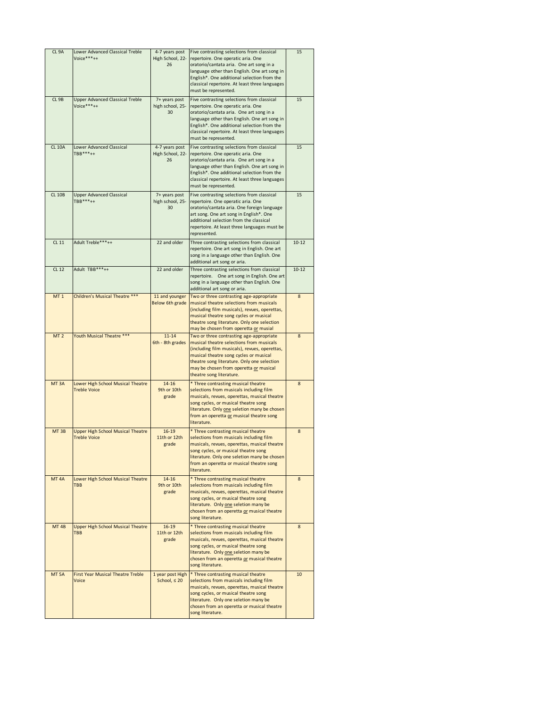| CL 9A            | Lower Advanced Classical Treble<br>Voice***++                   | 4-7 years post<br>High School, 22-<br>26 | Five contrasting selections from classical<br>repertoire. One operatic aria. One<br>oratorio/cantata aria. One art song in a<br>language other than English. One art song in<br>English*. One additional selection from the<br>classical repertoire. At least three languages<br>must be represented. | 15        |
|------------------|-----------------------------------------------------------------|------------------------------------------|-------------------------------------------------------------------------------------------------------------------------------------------------------------------------------------------------------------------------------------------------------------------------------------------------------|-----------|
| CL 9B            | <b>Upper Advanced Classical Treble</b><br>Voice***++            | 7+ years post<br>high school, 25-<br>30  | Five contrasting selections from classical<br>repertoire. One operatic aria. One<br>oratorio/cantata aria. One art song in a<br>language other than English. One art song in<br>English*. One additional selection from the<br>classical repertoire. At least three languages<br>must be represented. | 15        |
| <b>CL 10A</b>    | <b>Lower Advanced Classical</b><br>$TBB***++$                   | 4-7 years post<br>High School, 22-<br>26 | Five contrasting selections from classical<br>repertoire. One operatic aria. One<br>oratorio/cantata aria. One art song in a<br>language other than English. One art song in<br>English*. One additional selection from the<br>classical repertoire. At least three languages<br>must be represented. | 15        |
| <b>CL 10B</b>    | <b>Upper Advanced Classical</b><br>$TBB***++$                   | 7+ years post<br>high school, 25-<br>30  | Five contrasting selections from classical<br>repertoire. One operatic aria. One<br>oratorio/cantata aria. One foreign language<br>art song. One art song in English*. One<br>additional selection from the classical<br>repertoire. At least three languages must be<br>represented.                 | 15        |
| CL 11            | Adult Treble***++                                               | 22 and older                             | Three contrasting selections from classical<br>repertoire. One art song in English. One art<br>song in a language other than English. One<br>additional art song or aria.                                                                                                                             | $10 - 12$ |
| CL 12            | Adult TBB***++                                                  | 22 and older                             | Three contrasting selections from classical<br>repertoire. One art song in English. One art<br>song in a language other than English. One<br>additional art song or aria.                                                                                                                             | $10 - 12$ |
| MT 1             | Children's Musical Theatre ***                                  | 11 and younger<br>Below 6th grade        | Two or three contrasting age-appropriate<br>musical theatre selections from musicals<br>(including film musicals), revues, operettas,<br>musical theatre song cycles or musical<br>theatre song literature. Only one selection<br>may be chosen from operetta or musial                               | 8         |
| MT <sub>2</sub>  | Youth Musical Theatre ***                                       | $11 - 14$<br>6th - 8th grades            | Two or three contrasting age-appropriate<br>musical theatre selections from musicals                                                                                                                                                                                                                  | 8         |
|                  |                                                                 |                                          | (including film musicals), revues, operettas,<br>musical theatre song cycles or musical<br>theatre song literature. Only one selection<br>may be chosen from operetta or musical<br>theatre song literature.                                                                                          |           |
| MT <sub>3A</sub> | Lower High School Musical Theatre<br><b>Treble Voice</b>        | $14 - 16$<br>9th or 10th<br>grade        | * Three contrasting musical theatre<br>selections from musicals including film<br>musicals, revues, operettas, musical theatre<br>song cycles, or musical theatre song<br>literature. Only one seletion many be chosen<br>from an operetta or musical theatre song<br>literature.                     | 8         |
| MT <sub>3B</sub> | <b>Upper High School Musical Theatre</b><br><b>Treble Voice</b> | $16 - 19$<br>11th or 12th<br>grade       | * Three contrasting musical theatre<br>selections from musicals including film<br>musicals, revues, operettas, musical theatre<br>song cycles, or musical theatre song<br>literature. Only one seletion many be chosen<br>from an operetta or musical theatre song<br>literature.                     | 8         |
| MT <sub>4A</sub> | Lower High School Musical Theatre<br><b>TBB</b>                 | $14 - 16$<br>9th or 10th<br>grade        | * Three contrasting musical theatre<br>selections from musicals including film<br>musicals, revues, operettas, musical theatre<br>song cycles, or musical theatre song<br>literature. Only one seletion many be<br>chosen from an operetta or musical theatre<br>song literature.                     | 8         |
| MT <sub>4B</sub> | <b>Upper High School Musical Theatre</b><br><b>TBB</b>          | $16 - 19$<br>11th or 12th<br>grade       | * Three contrasting musical theatre<br>selections from musicals including film<br>musicals, revues, operettas, musical theatre<br>song cycles, or musical theatre song<br>literature. Only one seletion many be<br>chosen from an operetta or musical theatre<br>song literature.                     | 8         |